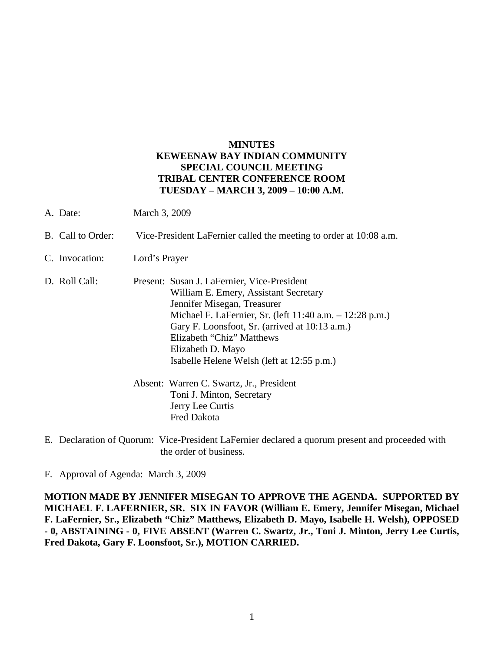## **MINUTES KEWEENAW BAY INDIAN COMMUNITY SPECIAL COUNCIL MEETING TRIBAL CENTER CONFERENCE ROOM TUESDAY – MARCH 3, 2009 – 10:00 A.M.**

- A. Date: March 3, 2009
- B. Call to Order: Vice-President LaFernier called the meeting to order at 10:08 a.m.
- C. Invocation: Lord's Prayer
- D. Roll Call: Present: Susan J. LaFernier, Vice-President William E. Emery, Assistant Secretary Jennifer Misegan, Treasurer Michael F. LaFernier, Sr. (left 11:40 a.m. – 12:28 p.m.) Gary F. Loonsfoot, Sr. (arrived at 10:13 a.m.) Elizabeth "Chiz" Matthews Elizabeth D. Mayo Isabelle Helene Welsh (left at 12:55 p.m.) Absent: Warren C. Swartz, Jr., President
	- Toni J. Minton, Secretary Jerry Lee Curtis Fred Dakota
- E. Declaration of Quorum: Vice-President LaFernier declared a quorum present and proceeded with the order of business.

F. Approval of Agenda: March 3, 2009

**MOTION MADE BY JENNIFER MISEGAN TO APPROVE THE AGENDA. SUPPORTED BY MICHAEL F. LAFERNIER, SR. SIX IN FAVOR (William E. Emery, Jennifer Misegan, Michael F. LaFernier, Sr., Elizabeth "Chiz" Matthews, Elizabeth D. Mayo, Isabelle H. Welsh), OPPOSED - 0, ABSTAINING - 0, FIVE ABSENT (Warren C. Swartz, Jr., Toni J. Minton, Jerry Lee Curtis, Fred Dakota, Gary F. Loonsfoot, Sr.), MOTION CARRIED.**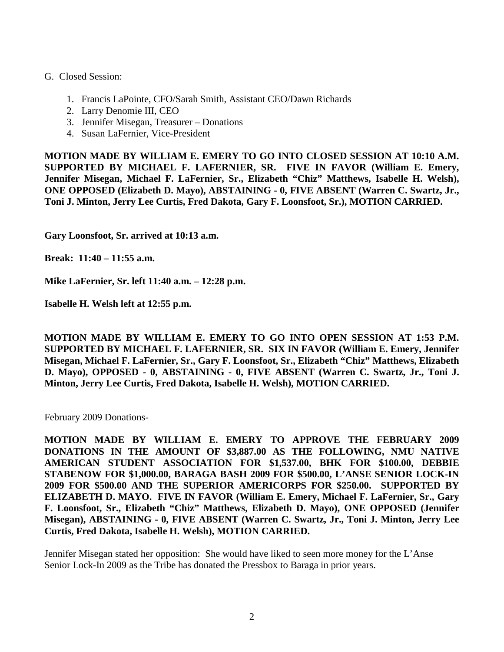## G. Closed Session:

- 1. Francis LaPointe, CFO/Sarah Smith, Assistant CEO/Dawn Richards
- 2. Larry Denomie III, CEO
- 3. Jennifer Misegan, Treasurer Donations
- 4. Susan LaFernier, Vice-President

**MOTION MADE BY WILLIAM E. EMERY TO GO INTO CLOSED SESSION AT 10:10 A.M. SUPPORTED BY MICHAEL F. LAFERNIER, SR. FIVE IN FAVOR (William E. Emery, Jennifer Misegan, Michael F. LaFernier, Sr., Elizabeth "Chiz" Matthews, Isabelle H. Welsh), ONE OPPOSED (Elizabeth D. Mayo), ABSTAINING - 0, FIVE ABSENT (Warren C. Swartz, Jr., Toni J. Minton, Jerry Lee Curtis, Fred Dakota, Gary F. Loonsfoot, Sr.), MOTION CARRIED.**

**Gary Loonsfoot, Sr. arrived at 10:13 a.m.**

**Break: 11:40 – 11:55 a.m.**

**Mike LaFernier, Sr. left 11:40 a.m. – 12:28 p.m.**

**Isabelle H. Welsh left at 12:55 p.m.**

**MOTION MADE BY WILLIAM E. EMERY TO GO INTO OPEN SESSION AT 1:53 P.M. SUPPORTED BY MICHAEL F. LAFERNIER, SR. SIX IN FAVOR (William E. Emery, Jennifer Misegan, Michael F. LaFernier, Sr., Gary F. Loonsfoot, Sr., Elizabeth "Chiz" Matthews, Elizabeth D. Mayo), OPPOSED - 0, ABSTAINING - 0, FIVE ABSENT (Warren C. Swartz, Jr., Toni J. Minton, Jerry Lee Curtis, Fred Dakota, Isabelle H. Welsh), MOTION CARRIED.**

February 2009 Donations-

**MOTION MADE BY WILLIAM E. EMERY TO APPROVE THE FEBRUARY 2009 DONATIONS IN THE AMOUNT OF \$3,887.00 AS THE FOLLOWING, NMU NATIVE AMERICAN STUDENT ASSOCIATION FOR \$1,537.00, BHK FOR \$100.00, DEBBIE STABENOW FOR \$1,000.00, BARAGA BASH 2009 FOR \$500.00, L'ANSE SENIOR LOCK-IN 2009 FOR \$500.00 AND THE SUPERIOR AMERICORPS FOR \$250.00. SUPPORTED BY ELIZABETH D. MAYO. FIVE IN FAVOR (William E. Emery, Michael F. LaFernier, Sr., Gary F. Loonsfoot, Sr., Elizabeth "Chiz" Matthews, Elizabeth D. Mayo), ONE OPPOSED (Jennifer Misegan), ABSTAINING - 0, FIVE ABSENT (Warren C. Swartz, Jr., Toni J. Minton, Jerry Lee Curtis, Fred Dakota, Isabelle H. Welsh), MOTION CARRIED.**

Jennifer Misegan stated her opposition: She would have liked to seen more money for the L'Anse Senior Lock-In 2009 as the Tribe has donated the Pressbox to Baraga in prior years.